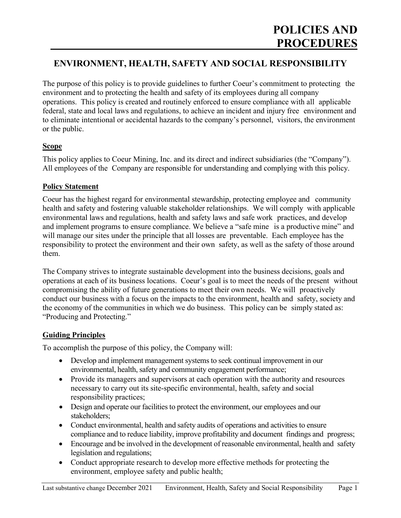# **ENVIRONMENT, HEALTH, SAFETY AND SOCIAL RESPONSIBILITY**

The purpose of this policy is to provide guidelines to further Coeur's commitment to protecting the environment and to protecting the health and safety of its employees during all company operations. This policy is created and routinely enforced to ensure compliance with all applicable federal, state and local laws and regulations, to achieve an incident and injury free environment and to eliminate intentional or accidental hazards to the company's personnel, visitors, the environment or the public.

## **Scope**

This policy applies to Coeur Mining, Inc. and its direct and indirect subsidiaries (the "Company"). All employees of the Company are responsible for understanding and complying with this policy.

## **Policy Statement**

Coeur has the highest regard for environmental stewardship, protecting employee and community health and safety and fostering valuable stakeholder relationships. We will comply with applicable environmental laws and regulations, health and safety laws and safe work practices, and develop and implement programs to ensure compliance. We believe a "safe mine is a productive mine" and will manage our sites under the principle that all losses are preventable. Each employee has the responsibility to protect the environment and their own safety, as well as the safety of those around them.

The Company strives to integrate sustainable development into the business decisions, goals and operations at each of its business locations. Coeur's goal is to meet the needs of the present without compromising the ability of future generations to meet their own needs. We will proactively conduct our business with a focus on the impacts to the environment, health and safety, society and the economy of the communities in which we do business. This policy can be simply stated as: "Producing and Protecting."

# **Guiding Principles**

To accomplish the purpose of this policy, the Company will:

- Develop and implement management systems to seek continual improvement in our environmental, health, safety and community engagement performance;
- Provide its managers and supervisors at each operation with the authority and resources necessary to carry out its site-specific environmental, health, safety and social responsibility practices;
- Design and operate our facilities to protect the environment, our employees and our stakeholders;
- Conduct environmental, health and safety audits of operations and activities to ensure compliance and to reduce liability, improve profitability and document findings and progress;
- Encourage and be involved in the development of reasonable environmental, health and safety legislation and regulations;
- Conduct appropriate research to develop more effective methods for protecting the environment, employee safety and public health;